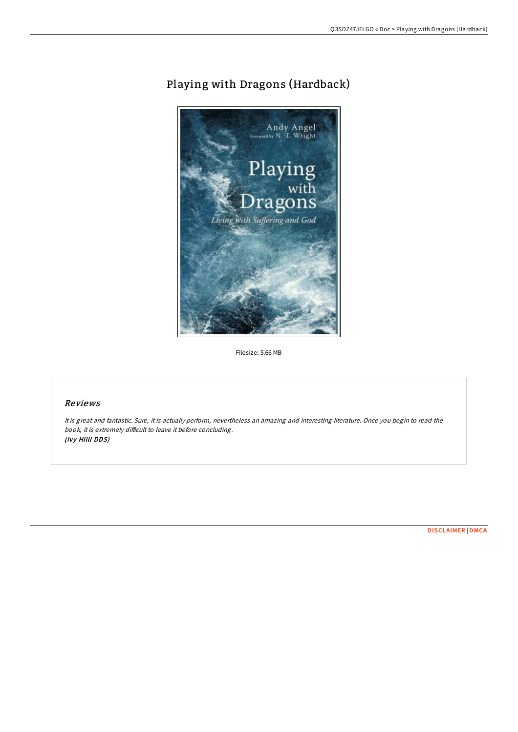# Playing with Dragons (Hardback)



Filesize: 5.66 MB

### Reviews

It is great and fantastic. Sure, it is actually perform, nevertheless an amazing and interesting literature. Once you begin to read the book, it is extremely difficult to leave it before concluding. (Ivy Hilll DDS)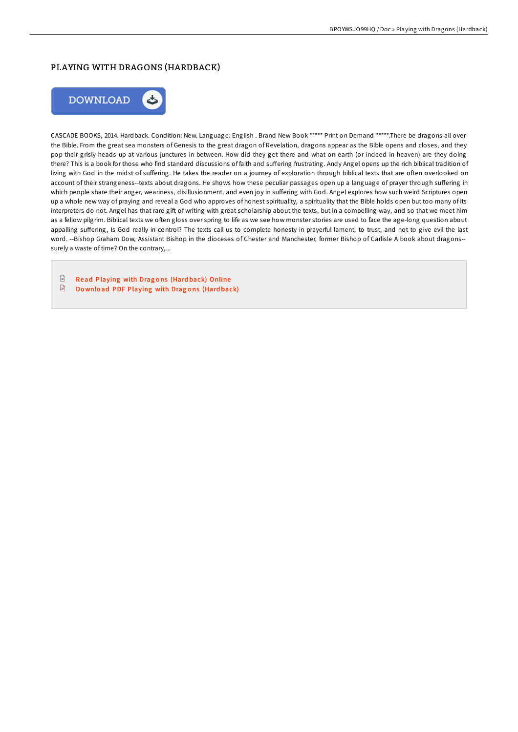# PLAYING WITH DRAGONS (HARDBACK)



CASCADE BOOKS, 2014. Hardback. Condition: New. Language: English . Brand New Book \*\*\*\*\* Print on Demand \*\*\*\*\*.There be dragons all over the Bible. From the great sea monsters of Genesis to the great dragon of Revelation, dragons appear as the Bible opens and closes, and they pop their grisly heads up at various junctures in between. How did they get there and what on earth (or indeed in heaven) are they doing there? This is a book for those who find standard discussions of faith and suffering frustrating. Andy Angel opens up the rich biblical tradition of living with God in the midst of suffering. He takes the reader on a journey of exploration through biblical texts that are often overlooked on account of their strangeness--texts about dragons. He shows how these peculiar passages open up a language of prayer through suffering in which people share their anger, weariness, disillusionment, and even joy in suffering with God. Angel explores how such weird Scriptures open up a whole new way of praying and reveal a God who approves of honest spirituality, a spirituality that the Bible holds open but too many of its interpreters do not. Angel has that rare gift of writing with great scholarship about the texts, but in a compelling way, and so that we meet him as a fellow pilgrim. Biblical texts we often gloss over spring to life as we see how monster stories are used to face the age-long question about appalling suffering, Is God really in control? The texts call us to complete honesty in prayerful lament, to trust, and not to give evil the last word. --Bishop Graham Dow, Assistant Bishop in the dioceses of Chester and Manchester, former Bishop of Carlisle A book about dragons- surely a waste of time? On the contrary,...

 $\begin{tabular}{|c|c|} \hline \quad \quad & \quad \quad & \quad \quad \\ \hline \end{tabular}$ Read [Playing](http://almighty24.tech/playing-with-dragons-hardback.html) with Dragons (Hardback) Online  $\mathbf{E}$ Download PDF [Playing](http://almighty24.tech/playing-with-dragons-hardback.html) with Dragons (Hardback)